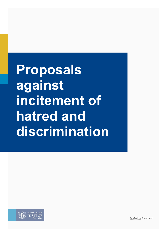**Proposals against incitement of hatred and discrimination**



New Zealand Government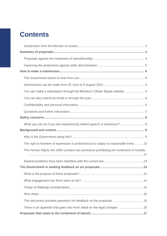## **Contents**

| You can make a submission through the Ministry's Citizen Space website 6                  |  |
|-------------------------------------------------------------------------------------------|--|
|                                                                                           |  |
|                                                                                           |  |
|                                                                                           |  |
|                                                                                           |  |
| What you can do if you are experiencing hateful speech or behaviour? 8                    |  |
|                                                                                           |  |
|                                                                                           |  |
| The right to freedom of expression is protected but is subject to reasonable limits 10    |  |
| The Human Rights Act 1993 contains two provisions prohibiting the incitement of hostility |  |
|                                                                                           |  |
|                                                                                           |  |
|                                                                                           |  |
|                                                                                           |  |
|                                                                                           |  |
|                                                                                           |  |
|                                                                                           |  |
| There is an appendix that goes into more detail on the legal changes 16                   |  |
|                                                                                           |  |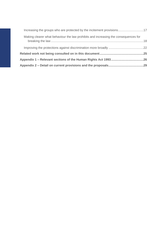| Making clearer what behaviour the law prohibits and increasing the consequences for |  |
|-------------------------------------------------------------------------------------|--|
|                                                                                     |  |
|                                                                                     |  |
|                                                                                     |  |
|                                                                                     |  |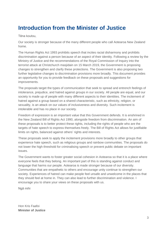### <span id="page-3-0"></span>**Introduction from the Minister of Justice**

Tēna koutou,

Our society is stronger because of the many different people who call Aotearoa New Zealand home.

The Human Rights Act 1993 prohibits speech that incites racial disharmony and prohibits discrimination against a person because of an aspect of their identity. Following a review by the Ministry of Justice and the recommendations of the Royal Commission of Inquiry into the terrorist attack at Christchurch masjidain on 15 March 2019, the Government is proposing changes to strengthen and clarify these protections. The Government is also proposing two further legislative changes to discrimination provisions more broadly. This document provides an opportunity for you to provide feedback on these proposals and suggestions for improvements.

The proposals target the types of communication that seek to spread and entrench feelings of intolerance, prejudice, and hatred against groups in our society. All people are equal, and our society is made up of people with many different aspects to their identities. The incitement of hatred against a group based on a shared characteristic, such as ethnicity, religion, or sexuality, is an attack on our values of inclusiveness and diversity. Such incitement is intolerable and has no place in our society.

Freedom of expression is an important value that this Government defends. It is enshrined in the New Zealand Bill of Rights Act 1990, alongside freedom from discrimination. An aim of these proposals is to better protect these rights, including the rights of people who are the targets of hate speech to express themselves freely. The Bill of Rights Act allows for justifiable limits on rights, balanced against others' rights and interests.

These proposals seek to apply the incitement provisions more broadly to other groups that experience hate speech, such as religious groups and rainbow communities. The proposals do not lower the high threshold for criminalising speech or prevent public debate on important issues.

The Government wants to foster greater social cohesion in Aotearoa so that it is a place where everyone feels that they belong. An important part of this is standing against conduct and language that harms our people. Aotearoa is made stronger because of our diversity. Communities that are empathetic to others and encourage unity continue to strengthen our society. Experiences of hatred can make people feel unsafe and unwelcome in the places that they should feel at home in. They can also lead to further discrimination and violence. I encourage you to share your views on these proposals with us.

Ngā mihi

Hon Kris Faafoi **Minister of Justice**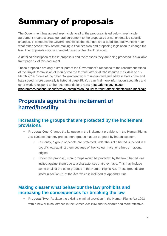# <span id="page-4-0"></span>Summary of proposals

The Government has agreed in-principle to all of the proposals listed below. In-principle agreement means a broad general agreement to the proposals but not on detailed specific changes. This means the Government thinks the changes are a good idea but wants to hear what other people think before making a final decision and proposing legislation to change the law. The proposals may be changed based on feedback received.

A detailed description of these proposals and the reasons they are being proposed is available from page 17 of this document.

These proposals are only a small part of the Government's response to the recommendations of the Royal Commission of Inquiry into the terrorist attack at Christchurch masjidain on 15 March 2019. Some of the other Government work to understand and address hate crime and hate speech more generally is listed at page 25. You can find more information about this and other work to respond to the recommendations here: [https://dpmc.govt.nz/our](https://dpmc.govt.nz/our-programmes/national-security/royal-commission-inquiry-terrorist-attack-christchurch-masjidain)[programmes/national-security/royal-commission-inquiry-terrorist-attack-christchurch-masjidain](https://dpmc.govt.nz/our-programmes/national-security/royal-commission-inquiry-terrorist-attack-christchurch-masjidain)

### <span id="page-4-1"></span>**Proposals against the incitement of hatred/hostility**

### **Increasing the groups that are protected by the incitement provisions**

- **Proposal One:** Change the language in the incitement provisions in the Human Rights Act 1993 so that they protect more groups that are targeted by hateful speech.
	- o Currently, a group of people are protected under the Act if hatred is incited in a specific way against them because of their colour, race, or ethnic or national origins
	- o Under this proposal, more groups would be protected by the law if hatred was incited against them due to a characteristic that they have. This may include some or all of the other grounds in the Human Rights Act. These grounds are listed in section 21 of the Act, which is included at Appendix One.

### **Making clearer what behaviour the law prohibits and increasing the consequences for breaking the law**

• **Proposal Two:** Replace the existing criminal provision in the Human Rights Act 1993 with a new criminal offence in the Crimes Act 1961 that is clearer and more effective.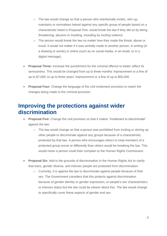- o The law would change so that a person who intentionally incites, stirs up, maintains or normalises hatred against any specific group of people based on a characteristic listed in Proposal One, would break the law if they did so by being threatening, abusive or insulting, including by inciting violence
- $\circ$  The person would break the law no matter how they made the threat, abuse or insult. It would not matter if it was verbally made to another person, in writing (in a drawing or words) or online (such as on social media, in an email, or in a digital message).
- **Proposal Three:** Increase the punishment for the criminal offence to better reflect its seriousness. This would be changed from up to three months' imprisonment or a fine of up to \$7,000, to up to three years' imprisonment or a fine of up to \$50,000.
- **Proposal Four:** Change the language of the civil incitement provision to match the changes being made to the criminal provision.

### <span id="page-5-0"></span>**Improving the protections against wider discrimination**

- **Proposal Five:** Change the civil provision so that it makes "incitement to discriminate" against the law.
	- o The law would change so that a person was prohibited from inciting or stirring up other people to discriminate against any groups because of a characteristic protected by that law. A person who encourages others to treat members of a protected group worse or differently than others would be breaking the law. This would mean a person could then complain to the Human Rights Commission.
- **Proposal Six:** Add to the grounds of discrimination in the Human Rights Act to clarify that trans, gender diverse, and intersex people are protected from discrimination.
	- o Currently, it is against the law to discriminate against people because of their sex. The Government considers that this protects against discrimination because of gender identity or gender expression, or people's sex characteristics or intersex status but the law could be clearer about this. The law would change to specifically cover these aspects of gender and sex.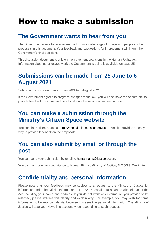# <span id="page-6-0"></span>How to make a submission

### <span id="page-6-1"></span>**The Government wants to hear from you**

The Government wants to receive feedback from a wide range of groups and people on the proposals in this document. Your feedback and suggestions for improvement will inform the Government's final decisions.

This discussion document is only on the incitement provisions in the Human Rights Act. Information about other related work the Government is doing is available on page 25.

### <span id="page-6-2"></span>**Submissions can be made from 25 June to 6 August 2021**

Submissions are open from 25 June 2021 to 6 August 2021.

If the Government agrees to progress changes to the law, you will also have the opportunity to provide feedback on an amendment bill during the select committee process.

### <span id="page-6-3"></span>**You can make a submission through the Ministry's Citizen Space website**

You can find Citizen Space at [https://consultations.justice.govt.nz.](https://consultations.justice.govt.nz/) This site provides an easy way to provide feedback on the proposals.

### <span id="page-6-4"></span>**You can also submit by email or through the post**

You can send your submission by email to [humanrights@justice.govt.nz.](mailto:humanrights@justice.govt.nz)

<span id="page-6-5"></span>You can send a written submission to Human Rights, Ministry of Justice, SX10088, Wellington.

### **Confidentiality and personal information**

Please note that your feedback may be subject to a request to the Ministry of Justice for information under the Official Information Act 1982. Personal details can be withheld under the Act, including your name and address. If you do not want any information you provide to be released, please indicate this clearly and explain why. For example, you may wish for some information to be kept confidential because it is sensitive personal information. The Ministry of Justice will take your views into account when responding to such requests.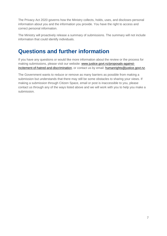The Privacy Act 2020 governs how the Ministry collects, holds, uses, and discloses personal information about you and the information you provide. You have the right to access and correct personal information.

The Ministry will proactively release a summary of submissions. The summary will not include information that could identify individuals.

### <span id="page-7-0"></span>**Questions and further information**

If you have any questions or would like more information about the review or the process for making submissions, please visit our website: [www.justice.govt.nz/proposals-against](http://www.justice.govt.nz/proposals-against-incitement-of-hatred-and-discrimination)[incitement-of-hatred-and-discrimination,](http://www.justice.govt.nz/proposals-against-incitement-of-hatred-and-discrimination) or contact us by email: [humanrights@justice.govt.nz.](mailto:humanrights@justice.govt.nz)

The Government wants to reduce or remove as many barriers as possible from making a submission but understands that there may still be some obstacles to sharing your views. If making a submission through Citizen Space, email or post is inaccessible to you, please contact us through any of the ways listed above and we will work with you to help you make a submission.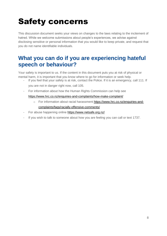# <span id="page-8-0"></span>Safety concerns

This discussion document seeks your views on changes to the laws relating to the incitement of hatred. While we welcome submissions about people's experiences, we advise against disclosing sensitive or personal information that you would like to keep private, and request that you do not name identifiable individuals.

### <span id="page-8-1"></span>**What you can do if you are experiencing hateful speech or behaviour?**

Your safety is important to us. If the content in this document puts you at risk of physical or mental harm, it is important that you know where to go for information or seek help.

- If you feel that your safety is at risk, contact the Police. If it is an emergency, call 111. If
	- you are not in danger right now, call 105.
- For information about how the Human Rights Commission can help see

#### <https://www.hrc.co.nz/enquiries-and-complaints/how-make-complaint/>

- o For information about racial harassment [https://www.hrc.co.nz/enquiries-and](https://www.hrc.co.nz/enquiries-and-complaints/faqs/racially-offensive-comments/)[complaints/faqs/racially-offensive-comments/](https://www.hrc.co.nz/enquiries-and-complaints/faqs/racially-offensive-comments/)
- For abuse happening online<https://www.netsafe.org.nz/>
- If you wish to talk to someone about how you are feeling you can call or text 1737.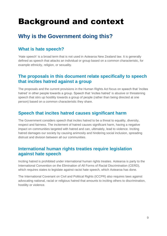# <span id="page-9-0"></span>Background and context

### <span id="page-9-1"></span>**Why is the Government doing this?**

### **What is hate speech?**

'Hate speech' is a broad term that is not used in Aotearoa New Zealand law. It is generally defined as speech that attacks an individual or group based on a common characteristic, for example ethnicity, religion, or sexuality.

### **The proposals in this document relate specifically to speech that incites hatred against a group**

The proposals and the current provisions in the Human Rights Act focus on speech that 'incites hatred' in other people towards a group. Speech that 'incites hatred' is abusive or threatening speech that stirs up hostility towards a group of people (rather than being directed at one person) based on a common characteristic they share.

### **Speech that incites hatred causes significant harm**

The Government considers speech that incites hatred to be a threat to equality, diversity, respect and fairness. The incitement of hatred causes significant harm, having a negative impact on communities targeted with hatred and can, ultimately, lead to violence. Inciting hatred damages our society by causing animosity and hindering social inclusion, spreading distrust and division between all our communities.

### **International human rights treaties require legislation against hate speech**

Inciting hatred is prohibited under international human rights treaties. Aotearoa is party to the International Convention on the Elimination of All Forms of Racial Discrimination (CERD), which requires states to legislate against racist hate speech, which Aotearoa has done.

The International Covenant on Civil and Political Rights (ICCPR) also requires laws against advocating national, racial or religious hatred that amounts to inciting others to discrimination, hostility or violence.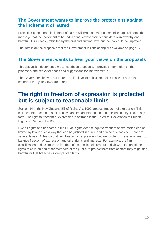### **The Government wants to improve the protections against the incitement of hatred**

Protecting people from incitement of hatred will promote safer communities and reinforce the message that the incitement of hatred is conduct that society considers blameworthy and harmful. It is already prohibited by the civil and criminal law, but the law could be improved.

The details on the proposals that the Government is considering are available on page 17.

### **The Government wants to hear your views on the proposals**

This discussion document aims to test these proposals. It provides information on the proposals and seeks feedback and suggestions for improvements.

The Government knows that there is a high level of public interest in this work and it is important that your views are heard.

### <span id="page-10-0"></span>**The right to freedom of expression is protected but is subject to reasonable limits**

Section 14 of the New Zealand Bill of Rights Act 1990 protects freedom of expression. This includes the freedom to seek, receive and impart information and opinions of any kind, in any form. The right to freedom of expression is affirmed in the Universal Declaration of Human Rights of 1948 and the ICCPR.

Like all rights and freedoms in the Bill of Rights Act, the right to freedom of expression can be limited by law in such a way that can be justified in a free and democratic society. There are several laws in Aotearoa that limit freedom of expression that are justified. These laws seek to balance freedom of expression and other rights and interests. For example, the film classification regime limits the freedom of expression of creators and viewers to uphold the rights of children and other members of the public, to protect them from content they might find harmful or that breaches society's standards.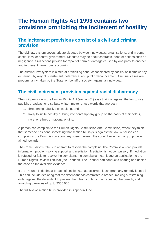### <span id="page-11-0"></span>**The Human Rights Act 1993 contains two provisions prohibiting the incitement of hostility**

### **The incitement provisions consist of a civil and criminal provision**

The civil law system covers private disputes between individuals, organisations, and in some cases, local or central government. Disputes may be about contracts, debt, or actions such as negligence. Civil actions provide for repair of harm or damage caused by one party to another, and to prevent harm from reoccurring.

The criminal law system is aimed at prohibiting conduct considered by society as blameworthy or harmful by way of punishment, deterrence, and public denouncement. Criminal cases are predominantly taken by the State, on behalf of society, against an individual.

### **The civil incitement provision against racial disharmony**

The civil provision in the Human Rights Act (section 61) says that it is against the law to use, publish, broadcast or distribute written matter or use words that are both:

- 1. threatening, abusive or insulting, and
- 2. likely to incite hostility or bring into contempt any group on the basis of their colour, race, or ethnic or national origins.

A person can complain to the Human Rights Commission (the Commission) when they think that someone has done something that section 61 says is against the law. A person can complain to the Commission about any speech even if they don't belong to the group it was aimed towards.

The Commission's role is to attempt to resolve the complaint. The Commission can provide information, problem-solving support and mediation. Mediation is not compulsory. If mediation is refused, or fails to resolve the complaint, the complainant can lodge an application to the Human Rights Review Tribunal (the Tribunal). The Tribunal can conduct a hearing and decide the case on the available evidence.

If the Tribunal finds that a breach of section 61 has occurred, it can grant any remedy it sees fit. This can include declaring that the defendant has committed a breach, making a restraining order against the defendant to prevent them from continuing or repeating the breach, and awarding damages of up to \$350,000.

The full text of section 61 is provided in Appendix One.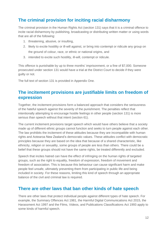### **The criminal provision for inciting racial disharmony**

The criminal provision in the Human Rights Act (section 131) says that it is a criminal offence to incite racial disharmony by publishing, broadcasting or distributing written matter or using words that are all of the following:

- 1. threatening, abusive, or insulting,
- 2. likely to excite hostility or ill-will against, or bring into contempt or ridicule any group on the ground of colour, race, or ethnic or national origins, and
- 3. intended to excite such hostility, ill-will, contempt or ridicule.

This offence is punishable by up to three months' imprisonment, or a fine of \$7,000. Someone prosecuted under section 131 would have a trial at the District Court to decide if they were guilty or not.

The full text of section 131 is provided in Appendix One.

### **The incitement provisions are justifiable limits on freedom of expression**

Together, the incitement provisions form a balanced approach that considers the seriousness of the hateful speech against the severity of the punishment. The penalties reflect that intentionally attempting to encourage hostile feelings in other people (section 131) is more serious than speech without that intent (section 61).

The current incitement provisions target speech which would have others believe that a society made up of different ethnic groups cannot function and seeks to turn people against each other. The law prohibits the incitement of these attitudes because they are incompatible with human rights and Aotearoa New Zealand's democratic values. These attitudes conflict with democratic principles because they are based on the idea that because of a shared characteristic, like ethnicity, religion or sexuality, some groups of people are less than others. There could be a belief that these groups should not have the same rights, be treated differently and excluded.

Speech that incites hatred can have the effect of infringing on the human rights of targeted groups, such as the right to equality, freedom of expression, freedom of movement and freedom of association. This is because this behaviour can cause significant harm and make people feel unsafe, ultimately preventing them from participating in public life and being included in society. For these reasons, limiting this kind of speech through an appropriate balance of the civil and criminal law is required.

### **There are other laws that ban other kinds of hate speech**

There are other laws that protect individual people against different types of hate speech. For example, the Summary Offences Act 1981, the Harmful Digital Communications Act 2015, the Harassment Act 1997 and the Films, Videos, and Publications Classifications Act 1993 apply to some kinds of harmful speech.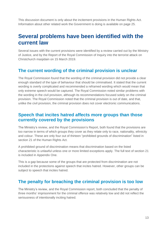This discussion document is only about the incitement provisions in the Human Rights Act. Information about other related work the Government is doing is available on page 25.

### <span id="page-13-0"></span>**Several problems have been identified with the current law**

Several issues with the current provisions were identified by a review carried out by the Ministry of Justice, and by the Report of the Royal Commission of Inquiry into the terrorist attack on Christchurch masjidain on 15 March 2019.

### **The current wording of the criminal provision is unclear**

The Royal Commission found that the wording of the criminal provision did not provide a clear enough standard of the type of behaviour that should be criminalised. It stated that the current wording is overly complicated and recommended a reframed wording which would mean that only extreme speech would be captured. The Royal Commission noted similar problems with the wording in the civil provision, although its recommendations focused solely on the criminal provision. The Royal Commission noted that the criminal provision is out of date, and that, unlike the civil provision, the criminal provision does not cover electronic communications.

### **Speech that incites hatred affects more groups than those currently covered by the provisions**

The Ministry's review, and the Royal Commission's Report, both found that the provisions are too narrow in terms of which groups they cover as they relate only to race, nationality, ethnicity and colour. These are only four out of thirteen "prohibited grounds of discrimination" listed in section 21 of the Human Rights Act.

A prohibited ground of discrimination means that discrimination based on the listed characteristic is unlawful unless one or more limited exceptions apply. The full text of section 21 is included in Appendix One.

This is a gap because some of the groups that are protected from discrimination are not included in the protections against speech that incites hatred. However, other groups can be subject to speech that incites hatred.

### **The penalty for breaching the criminal provision is too low**

The Ministry's review, and the Royal Commission report, both concluded that the penalty of three months' imprisonment for the criminal offence was relatively low and did not reflect the seriousness of intentionally inciting hatred.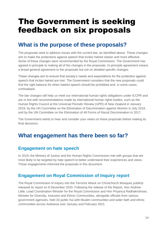# <span id="page-14-0"></span>The Government is seeking feedback on six proposals

### <span id="page-14-1"></span>**What is the purpose of these proposals?**

The proposals seek to address issues with the current law, as identified above. These changes aim to make the protections against speech that incites hatred clearer and more effective. Some of these changes were recommended by the Royal Commission. The Government has agreed in-principle to making all of the changes in the proposals. In-principle agreement means a broad general agreement to the proposals but not on detailed specific changes.

These changes aim to ensure that society's needs and expectations for the protection against speech that incites hatred are met. The Government considers that the new proposals could find the right balance for when hateful speech should be prohibited and, in some cases, criminalised.

The law changes will help us meet our international human rights obligations under ICCPR and are in line with recommendations made by international human rights bodies, such as the Human Rights Council at the Universal Periodic Review (UPR) of New Zealand in January 2019, by the UN Committee on the Elimination of Discrimination against Women in July 2018, and by the UN Committee on the Elimination of All Forms of Racial Discrimination in 2017.

The Government wants to hear and consider your views on these proposals before making its final decisions.

### <span id="page-14-2"></span>**What engagement has there been so far?**

### **Engagement on hate speech**

In 2019, the Ministry of Justice and the Human Rights Commission met with groups that are most likely to be targeted by hate speech to better understand their experiences and views. These engagements informed the proposals in this document.

### **Engagement on Royal Commission of Inquiry report**

The Royal Commission of Inquiry into the Terrorist Attack on Christchurch Mosques publicly released its report on 8 December 2020. Following the release of the Report, Hon Andrew Little, Lead Coordination Minister for the Royal Commission and Hon Priyanca Radhakrishnan, Minister for Diversity, Inclusion and Ethnic Communities, alongside officials from various government agencies, held 33 public hui with Muslim communities and wider faith and ethnic communities across Aotearoa over January and February 2021.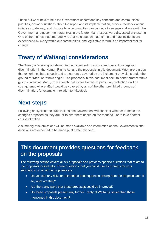These hui were held to help the Government understand key concerns and communities' priorities, answer questions about the report and its implementation, provide feedback about initiatives underway, and discuss how communities can continue to engage and work with the Government and government agencies in the future. Many issues were discussed at these hui. One of the themes that emerged was that hate speech, hate crime and hate incidents are experienced by many within our communities, and legislative reform is an important tool for change.

### <span id="page-15-0"></span>**Treaty of Waitangi considerations**

The Treaty of Waitangi is relevant to the incitement provisions and protections against discrimination in the Human Rights Act and the proposals in this document. Māori are a group that experience hate speech and are currently covered by the incitement provisions under the ground of "race" or "ethnic origin". The proposals in this document seek to better protect ethnic groups, including Māori, from speech that incites hatred. In particular, protections will be strengthened where Māori would be covered by any of the other prohibited grounds of discrimination, for example in relation to takatāpui.

### <span id="page-15-1"></span>**Next steps**

Following analysis of the submissions, the Government will consider whether to make the changes proposed as they are, or to alter them based on the feedback, or to take another course of action.

A summary of submissions will be made available and information on the Government's final decisions are expected to be made public later this year.

### This document provides questions for feedback on the proposals

The following section covers all six proposals and provides specific questions that relate to the proposals individually. Three questions that you could use as prompts for your submission on all of the proposals are:

- Do you see any risks or unintended consequences arising from the proposal and, if so, what are they?
- Are there any ways that these proposals could be improved?
- Do these proposals present any further Treaty of Waitangi issues than those mentioned in this document?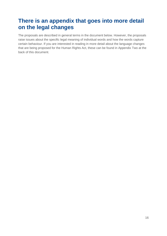### <span id="page-16-0"></span>**There is an appendix that goes into more detail on the legal changes**

The proposals are described in general terms in the document below. However, the proposals raise issues about the specific legal meaning of individual words and how the words capture certain behaviour. If you are interested in reading in more detail about the language changes that are being proposed for the Human Rights Act, these can be found in Appendix Two at the back of this document.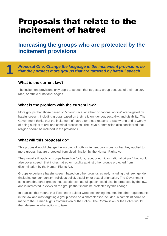## <span id="page-17-0"></span>Proposals that relate to the incitement of hatred

### <span id="page-17-1"></span>**Increasing the groups who are protected by the incitement provisions**

*Proposal One: Change the language in the incitement provisions so that they protect more groups that are targeted by hateful speech*

#### **What is the current law?**

**1**

The incitement provisions only apply to speech that targets a group because of their "colour, race, or ethnic or national origins".

#### **What is the problem with the current law?**

More groups than those based on "colour, race, or ethnic or national origins" are targeted by hateful speech, including groups based on their religion, gender, sexuality, and disability. The Government thinks that the incitement of hatred for these reasons is also wrong and is worthy of being subject to civil and criminal processes. The Royal Commission also considered that religion should be included in the provisions.

#### **What will this proposal do?**

This proposal would change the wording of both incitement provisions so that they applied to more groups that are protected from discrimination by the Human Rights Act.

They would still apply to groups based on "colour, race, or ethnic or national origins", but would also cover speech that incites hatred or hostility against other groups protected from discrimination by the Human Rights Act.

Groups experience hateful speech based on other grounds as well, including their sex, gender (including gender identity), religious belief, disability, or sexual orientation. The Government considers that other groups that experience hateful speech could also be protected by the law, and is interested in views on the groups that should be protected by this change.

In practice, this means that if someone said or wrote something that met the other requirements in the law and was targeting a group based on a characteristic included, a complaint could be made to the Human Rights Commission or the Police. The Commission or the Police would then determine what actions to take.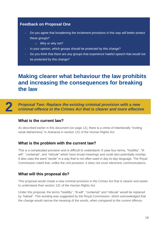#### **Feedback on Proposal One**

- Do you agree that broadening the incitement provisions in this way will better protect these groups?
	- o Why or why not?
- In your opinion, which groups should be protected by this change?
- Do you think that there are any groups that experience hateful speech that would not be protected by this change?

### <span id="page-18-0"></span>**Making clearer what behaviour the law prohibits and increasing the consequences for breaking the law**

**2**

*Proposal Two: Replace the existing criminal provision with a new criminal offence in the Crimes Act that is clearer and more effective*

#### **What is the current law?**

As described earlier in this document (on page 12), there is a crime of intentionally "inciting racial disharmony" in Aotearoa in section 131 of the Human Rights Act.

#### **What is the problem with the current law?**

This is a complicated provision and is difficult to understand. It uses four terms, "hostility", "illwill", "contempt", and "ridicule" which have broad meanings and could also potentially overlap. It also uses the word "excite" in a way that is not often used in day-to-day language. The Royal Commission noted that, unlike the civil provision, it does not cover electronic communications.

#### **What will this proposal do?**

This proposal would create a new criminal provision in the Crimes Act that is clearer and easier to understand than section 131 of the Human Rights Act.

Under this proposal, the terms "hostility", "ill-will", "contempt" and "ridicule" would be replaced by "hatred". This wording was suggested by the Royal Commission, which acknowledged that the change would narrow the meaning of the words, when compared to the current offence.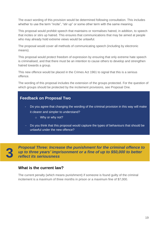The exact wording of this provision would be determined following consultation. This includes whether to use the term "incite", "stir up" or some other term with the same meaning.

This proposal would prohibit speech that maintains or normalises hatred, in addition, to speech that incites or stirs up hatred. This ensures that communications that may be aimed at people who may already hold extreme views would be unlawful.

The proposal would cover all methods of communicating speech (including by electronic means).

This proposal would protect freedom of expression by ensuring that only extreme hate speech is criminalised, and that there must be an intention to cause others to develop and strengthen hatred towards a group.

This new offence would be placed in the Crimes Act 1961 to signal that this is a serious offence.

The wording of this proposal includes the extension of the groups protected. For the question of which groups should be protected by the incitement provisions, see Proposal One.

#### **Feedback on Proposal Two**

- Do you agree that changing the wording of the criminal provision in this way will make it clearer and simpler to understand?
	- o Why or why not?
- Do you think that this proposal would capture the types of behaviours that should be unlawful under the new offence?

**3**

*Proposal Three: Increase the punishment for the criminal offence to up to three years' imprisonment or a fine of up to \$50,000 to better reflect its seriousness*

#### **What is the current law?**

The current penalty (which means punishment) if someone is found guilty of the criminal incitement is a maximum of three months in prison or a maximum fine of \$7,000.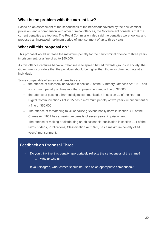#### **What is the problem with the current law?**

Based on an assessment of the seriousness of the behaviour covered by the new criminal provision, and a comparison with other criminal offences, the Government considers that the current penalties are too low. The Royal Commission also said the penalties were too low and proposed an increased maximum period of imprisonment of up to three years.

#### **What will this proposal do?**

This proposal would increase the maximum penalty for the new criminal offence to three years imprisonment, or a fine of up to \$50,000.

As this offence captures behaviour that seeks to spread hatred towards groups in society, the Government considers that the penalties should be higher than those for directing hate at an individual.

Some comparable offences and penalties are:

- the offence of disorderly behaviour in section 3 of the Summary Offences Act 1981 has a maximum penalty of three months' imprisonment and a fine of \$2,000
- the offence of posting a harmful digital communication in section 22 of the Harmful Digital Communications Act 2015 has a maximum penalty of two years' imprisonment or a fine of \$50,000
- The offence of threatening to kill or cause grievous bodily harm in section 306 of the Crimes Act 1961 has a maximum penalty of seven years' imprisonment
- The offence of making or distributing an objectionable publication in section 124 of the Films, Videos, Publications, Classification Act 1993, has a maximum penalty of 14 years' imprisonment.

#### **Feedback on Proposal Three**

- Do you think that this penalty appropriately reflects the seriousness of the crime? o Why or why not?
- If you disagree, what crimes should be used as an appropriate comparison?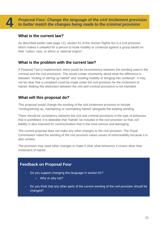*Proposal Four: Change the language of the civil incitement provision to better match the changes being made to the criminal provision* 

#### **What is the current law?**

As described earlier (see page 11), section 61 of the Human Rights Act is a civil provision which makes it unlawful for a person to incite hostility or contempt against a group based on their "colour, race, or ethnic or national origins".

#### **What is the problem with the current law?**

If Proposal Two is implemented, there would be inconsistency between the wording used in the criminal and the civil provisions. This would create uncertainty about what the difference is between "inciting or stirring up hatred" and "exciting hostility or bringing into contempt". It may not be clear that a complaint could be made under the civil provision for the incitement of hatred. Making this distinction between the civil and criminal provisions is not intended.

#### **What will this proposal do?**

This proposal would change the wording of the civil incitement provision to include "inciting/stirring up, maintaining or normalising hatred" alongside the existing wording.

There should be consistency between the civil and criminal provisions in the type of behaviour that is prohibited. It is desirable that "hatred" be included in the civil provision so that civil liability is also imposed for communication that is the most serious and damaging.

The current proposal does not make any other changes to the civil provision. The Royal Commission noted the wording of the civil provision raises issues of enforceability because it is also unclear.

The provision may need other changes to make it clear what behaviour it covers other than incitement of hatred.

#### **Feedback on Proposal Four**

- Do you support changing this language in section 61?
	- o Why or why not?
- Do you think that any other parts of the current wording of the civil provision should be changed?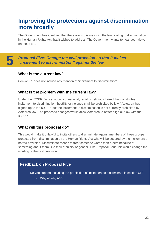### <span id="page-22-0"></span>**Improving the protections against discrimination more broadly**

The Government has identified that there are two issues with the law relating to discrimination in the Human Rights Act that it wishes to address. The Government wants to hear your views on these too.

**5**

*Proposal Five: Change the civil provision so that it makes "incitement to discrimination" against the law*

#### **What is the current law?**

Section 61 does not include any mention of "incitement to discrimination".

#### **What is the problem with the current law?**

Under the ICCPR, "any advocacy of national, racial or religious hatred that constitutes incitement to discrimination, hostility or violence shall be prohibited by law." Aotearoa has signed up to the ICCPR, but the incitement to discrimination is not currently prohibited by Aotearoa law. The proposed changes would allow Aotearoa to better align our law with the ICCPR.

#### **What will this proposal do?**

This would make it unlawful to incite others to discriminate against members of those groups protected from discrimination by the Human Rights Act who will be covered by the incitement of hatred provision. Discriminate means to treat someone worse than others because of something about them, like their ethnicity or gender. Like Proposal Four, this would change the wording of the civil provision.

#### **Feedback on Proposal Five**

- Do you support including the prohibition of incitement to discriminate in section 61?
	- o Why or why not?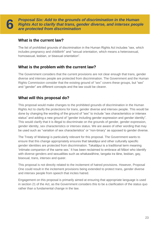**6**

*Proposal Six: Add to the grounds of discrimination in the Human Rights Act to clarify that trans, gender diverse, and intersex people are protected from discrimination*

#### **What is the current law?**

The list of prohibited grounds of discrimination in the Human Rights Act includes "sex, which includes pregnancy and childbirth" and "sexual orientation, which means a heterosexual, homosexual, lesbian, or bisexual orientation".

#### **What is the problem with the current law?**

The Government considers that the current provisions are not clear enough that trans, gender diverse and intersex people are protected from discrimination. The Government and the Human Rights Commission consider that the existing ground of "sex" covers these groups, but "sex" and "gender" are different concepts and the law could be clearer.

### **What will this proposal do?**

This proposal would make changes to the prohibited grounds of discrimination in the Human Rights Act to clarify the protections for trans, gender diverse and intersex people. This would be done by changing the wording of the ground of "sex" to include "sex characteristics or intersex status" and adding a new ground of "gender including gender expression and gender identity". This would clarify that it is illegal to discriminate on the grounds of gender, gender expression, gender identity, sex characteristics or intersex status. We are aware of other wording that may be used such as "variation of sex characteristics" or "non-binary" as opposed to gender diverse.

The Treaty of Waitangi is particularly relevant for this proposal. The Government wants to ensure that this change appropriately ensures that takatāpui and other culturally specific gender identities are protected from discrimination. Takatāpui is a traditional term meaning 'intimate companion of the same sex.' It has been reclaimed to embrace all Māori who identify with diverse genders and sexualities such as whakawāhine, tangata ira tāne, lesbian, gay, bisexual, trans, intersex and queer.

This proposal is not directly related to the incitement of hatred provisions. However, Proposal One could result in the incitement provisions being extended to protect trans, gender diverse and intersex people from speech that incites hatred.

Engagement on this proposal is primarily aimed at ensuring that appropriate language is used in section 21 of the Act, as the Government considers this to be a clarification of the status quo rather than a fundamental change in the law.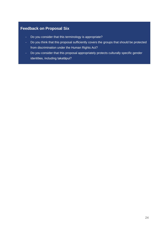### **Feedback on Proposal Six**

-

- Do you consider that this terminology is appropriate?
- Do you think that this proposal sufficiently covers the groups that should be protected from discrimination under the Human Rights Act?
- Do you consider that this proposal appropriately protects culturally specific gender identities, including takatāpui?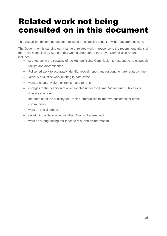# <span id="page-25-0"></span>Related work not being consulted on in this document

This discussion document has been focused on a specific aspect of wider government work.

The Government is carrying out a range of related work in response to the recommendations of the Royal Commission. Some of this work started before the Royal Commission report. It includes:

- strengthening the capacity of the Human Rights Commission to respond to hate speech, racism and discrimination
- Police-led work to accurately identify, record, report and respond to hate-related crime
- Ministry of Justice work relating to hate crime
- work to counter violent extremism and terrorism
- changes to the definition of objectionable under the Films, Videos and Publications Classifications Act
- the creation of the Ministry for Ethnic Communities to improve outcomes for ethnic communities
- work on social cohesion
- developing a National Action Plan Against Racism, and
- work on strengthening resilience to mis- and disinformation.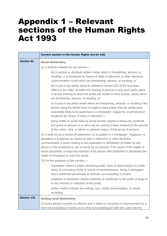## <span id="page-26-0"></span>Appendix 1 – Relevant sections of the Human Rights Act 1993

|                    | Current section in the Human Rights Act (in full)                                                                                                                                                                                                                                                                                                                                                                                                                                        |  |  |
|--------------------|------------------------------------------------------------------------------------------------------------------------------------------------------------------------------------------------------------------------------------------------------------------------------------------------------------------------------------------------------------------------------------------------------------------------------------------------------------------------------------------|--|--|
| <b>Section 61</b>  | <b>Racial disharmony</b>                                                                                                                                                                                                                                                                                                                                                                                                                                                                 |  |  |
|                    | (1) It shall be unlawful for any person-                                                                                                                                                                                                                                                                                                                                                                                                                                                 |  |  |
|                    | (a) to publish or distribute written matter which is threatening, abusive, or<br>insulting, or to broadcast by means of radio or television or other electronic<br>communication words which are threatening, abusive, or insulting; or                                                                                                                                                                                                                                                  |  |  |
|                    | (b) to use in any public place as defined in section 2(1) of the Summary<br>Offences Act 1981, or within the hearing of persons in any such public place,<br>or at any meeting to which the public are invited or have access, words which<br>are threatening, abusive, or insulting; or                                                                                                                                                                                                 |  |  |
|                    | (c) to use in any place words which are threatening, abusive, or insulting if the<br>person using the words knew or ought to have known that the words were<br>reasonably likely to be published in a newspaper, magazine, or periodical or<br>broadcast by means of radio or television,-                                                                                                                                                                                               |  |  |
|                    | being matter or words likely to excite hostility against or bring into contempt<br>any group of persons in or who may be coming to New Zealand on the ground<br>of the colour, race, or ethnic or national origins of that group of persons.                                                                                                                                                                                                                                             |  |  |
|                    | (2) It shall not be a breach of subsection (1) to publish in a newspaper, magazine, or<br>periodical or broadcast by means of radio or television or other electronic<br>communication a report relating to the publication or distribution of matter by any<br>person or the broadcast or use of words by any person, if the report of the matter or<br>words accurately conveys the intention of the person who published or distributed the<br>matter or broadcast or used the words. |  |  |
|                    | (3) For the purposes of this section,-                                                                                                                                                                                                                                                                                                                                                                                                                                                   |  |  |
|                    | newspaper means a paper containing public news or observations on public<br>news, or consisting wholly or mainly of advertisements, being a newspaper<br>that is published periodically at intervals not exceeding 3 months                                                                                                                                                                                                                                                              |  |  |
|                    | publishes or distributes means publishes or distributes to the public at large or<br>to any member or members of the public                                                                                                                                                                                                                                                                                                                                                              |  |  |
|                    | written matter includes any writing, sign, visible representation, or sound<br>recording.                                                                                                                                                                                                                                                                                                                                                                                                |  |  |
| <b>Section 131</b> | Inciting racial disharmony                                                                                                                                                                                                                                                                                                                                                                                                                                                               |  |  |
|                    | (1) Every person commits an offence and is liable on conviction to imprisonment for a<br>term not exceeding 3 months or to a fine not exceeding \$7,000 who, with intent to                                                                                                                                                                                                                                                                                                              |  |  |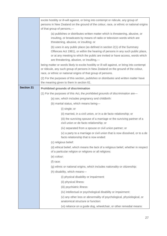|                                                                                                                     | excite hostility or ill-will against, or bring into contempt or ridicule, any group of<br>persons in New Zealand on the ground of the colour, race, or ethnic or national origins<br>of that group of persons,-<br>(a) publishes or distributes written matter which is threatening, abusive, or<br>insulting, or broadcasts by means of radio or television words which are<br>threatening, abusive, or insulting; or<br>(b) uses in any public place (as defined in section 2(1) of the Summary<br>Offences Act 1981), or within the hearing of persons in any such public place,<br>or at any meeting to which the public are invited or have access, words which<br>are threatening, abusive, or insulting,-<br>being matter or words likely to excite hostility or ill-will against, or bring into contempt<br>or ridicule, any such group of persons in New Zealand on the ground of the colour,<br>race, or ethnic or national origins of that group of persons. |  |
|---------------------------------------------------------------------------------------------------------------------|-------------------------------------------------------------------------------------------------------------------------------------------------------------------------------------------------------------------------------------------------------------------------------------------------------------------------------------------------------------------------------------------------------------------------------------------------------------------------------------------------------------------------------------------------------------------------------------------------------------------------------------------------------------------------------------------------------------------------------------------------------------------------------------------------------------------------------------------------------------------------------------------------------------------------------------------------------------------------|--|
|                                                                                                                     | (2) For the purposes of this section, <i>publishes</i> or <i>distributes</i> and <i>written matter</i> have<br>the meaning given to them in section 61.                                                                                                                                                                                                                                                                                                                                                                                                                                                                                                                                                                                                                                                                                                                                                                                                                 |  |
| <b>Section 21</b>                                                                                                   | <b>Prohibited grounds of discrimination</b><br>(1) For the purposes of this Act, the <i>prohibited grounds of discrimination</i> are-                                                                                                                                                                                                                                                                                                                                                                                                                                                                                                                                                                                                                                                                                                                                                                                                                                   |  |
|                                                                                                                     | (a) sex, which includes pregnancy and childbirth:                                                                                                                                                                                                                                                                                                                                                                                                                                                                                                                                                                                                                                                                                                                                                                                                                                                                                                                       |  |
|                                                                                                                     | (b) marital status, which means being-                                                                                                                                                                                                                                                                                                                                                                                                                                                                                                                                                                                                                                                                                                                                                                                                                                                                                                                                  |  |
|                                                                                                                     | (i) single; or                                                                                                                                                                                                                                                                                                                                                                                                                                                                                                                                                                                                                                                                                                                                                                                                                                                                                                                                                          |  |
|                                                                                                                     | (ii) married, in a civil union, or in a de facto relationship; or                                                                                                                                                                                                                                                                                                                                                                                                                                                                                                                                                                                                                                                                                                                                                                                                                                                                                                       |  |
|                                                                                                                     | (iii) the surviving spouse of a marriage or the surviving partner of a<br>civil union or de facto relationship; or                                                                                                                                                                                                                                                                                                                                                                                                                                                                                                                                                                                                                                                                                                                                                                                                                                                      |  |
|                                                                                                                     | (iv) separated from a spouse or civil union partner; or                                                                                                                                                                                                                                                                                                                                                                                                                                                                                                                                                                                                                                                                                                                                                                                                                                                                                                                 |  |
| (v) a party to a marriage or civil union that is now dissolved, or to a de<br>facto relationship that is now ended: |                                                                                                                                                                                                                                                                                                                                                                                                                                                                                                                                                                                                                                                                                                                                                                                                                                                                                                                                                                         |  |
|                                                                                                                     | (c) religious belief:                                                                                                                                                                                                                                                                                                                                                                                                                                                                                                                                                                                                                                                                                                                                                                                                                                                                                                                                                   |  |
|                                                                                                                     | (d) ethical belief, which means the lack of a religious belief, whether in respect<br>of a particular religion or religions or all religions:                                                                                                                                                                                                                                                                                                                                                                                                                                                                                                                                                                                                                                                                                                                                                                                                                           |  |
|                                                                                                                     | (e) colour:                                                                                                                                                                                                                                                                                                                                                                                                                                                                                                                                                                                                                                                                                                                                                                                                                                                                                                                                                             |  |
|                                                                                                                     | (f) race:                                                                                                                                                                                                                                                                                                                                                                                                                                                                                                                                                                                                                                                                                                                                                                                                                                                                                                                                                               |  |
|                                                                                                                     | (g) ethnic or national origins, which includes nationality or citizenship:                                                                                                                                                                                                                                                                                                                                                                                                                                                                                                                                                                                                                                                                                                                                                                                                                                                                                              |  |
|                                                                                                                     | (h) disability, which means-                                                                                                                                                                                                                                                                                                                                                                                                                                                                                                                                                                                                                                                                                                                                                                                                                                                                                                                                            |  |
|                                                                                                                     | (i) physical disability or impairment:                                                                                                                                                                                                                                                                                                                                                                                                                                                                                                                                                                                                                                                                                                                                                                                                                                                                                                                                  |  |
| (ii) physical illness:                                                                                              |                                                                                                                                                                                                                                                                                                                                                                                                                                                                                                                                                                                                                                                                                                                                                                                                                                                                                                                                                                         |  |
|                                                                                                                     | (iii) psychiatric illness:                                                                                                                                                                                                                                                                                                                                                                                                                                                                                                                                                                                                                                                                                                                                                                                                                                                                                                                                              |  |
|                                                                                                                     | (iv) intellectual or psychological disability or impairment:                                                                                                                                                                                                                                                                                                                                                                                                                                                                                                                                                                                                                                                                                                                                                                                                                                                                                                            |  |
|                                                                                                                     | (v) any other loss or abnormality of psychological, physiological, or<br>anatomical structure or function:                                                                                                                                                                                                                                                                                                                                                                                                                                                                                                                                                                                                                                                                                                                                                                                                                                                              |  |
|                                                                                                                     | (vi) reliance on a guide dog, wheelchair, or other remedial means:                                                                                                                                                                                                                                                                                                                                                                                                                                                                                                                                                                                                                                                                                                                                                                                                                                                                                                      |  |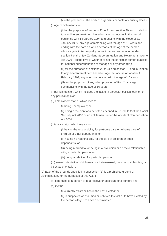| (vii) the presence in the body of organisms capable of causing illness:                                                                                                                                                                                                                                                                                                                                                                                                                                                                                                                                                                                                                                                                                                                                                                               |
|-------------------------------------------------------------------------------------------------------------------------------------------------------------------------------------------------------------------------------------------------------------------------------------------------------------------------------------------------------------------------------------------------------------------------------------------------------------------------------------------------------------------------------------------------------------------------------------------------------------------------------------------------------------------------------------------------------------------------------------------------------------------------------------------------------------------------------------------------------|
| $(i)$ age, which means,—                                                                                                                                                                                                                                                                                                                                                                                                                                                                                                                                                                                                                                                                                                                                                                                                                              |
| (i) for the purposes of sections 22 to 41 and section 70 and in relation<br>to any different treatment based on age that occurs in the period<br>beginning with 1 February 1994 and ending with the close of 31<br>January 1999, any age commencing with the age of 16 years and<br>ending with the date on which persons of the age of the person<br>whose age is in issue qualify for national superannuation under<br>section 7 of the New Zealand Superannuation and Retirement Income<br>Act 2001 (irrespective of whether or not the particular person qualifies<br>for national superannuation at that age or any other age):<br>(ii) for the purposes of sections 22 to 41 and section 70 and in relation<br>to any different treatment based on age that occurs on or after 1<br>February 1999, any age commencing with the age of 16 years: |
| (iii) for the purposes of any other provision of Part 2, any age<br>commencing with the age of 16 years:                                                                                                                                                                                                                                                                                                                                                                                                                                                                                                                                                                                                                                                                                                                                              |
| (j) political opinion, which includes the lack of a particular political opinion or<br>any political opinion:                                                                                                                                                                                                                                                                                                                                                                                                                                                                                                                                                                                                                                                                                                                                         |
| (k) employment status, which means-                                                                                                                                                                                                                                                                                                                                                                                                                                                                                                                                                                                                                                                                                                                                                                                                                   |
| (i) being unemployed; or                                                                                                                                                                                                                                                                                                                                                                                                                                                                                                                                                                                                                                                                                                                                                                                                                              |
| (ii) being a recipient of a benefit as defined in Schedule 2 of the Social<br>Security Act 2018 or an entitlement under the Accident Compensation<br>Act 2001:                                                                                                                                                                                                                                                                                                                                                                                                                                                                                                                                                                                                                                                                                        |
| (I) family status, which means-                                                                                                                                                                                                                                                                                                                                                                                                                                                                                                                                                                                                                                                                                                                                                                                                                       |
| (i) having the responsibility for part-time care or full-time care of<br>children or other dependants; or                                                                                                                                                                                                                                                                                                                                                                                                                                                                                                                                                                                                                                                                                                                                             |
| (ii) having no responsibility for the care of children or other<br>dependants; or                                                                                                                                                                                                                                                                                                                                                                                                                                                                                                                                                                                                                                                                                                                                                                     |
| (iii) being married to, or being in a civil union or de facto relationship<br>with, a particular person; or                                                                                                                                                                                                                                                                                                                                                                                                                                                                                                                                                                                                                                                                                                                                           |
| (iv) being a relative of a particular person:                                                                                                                                                                                                                                                                                                                                                                                                                                                                                                                                                                                                                                                                                                                                                                                                         |
| (m) sexual orientation, which means a heterosexual, homosexual, lesbian, or<br>bisexual orientation.                                                                                                                                                                                                                                                                                                                                                                                                                                                                                                                                                                                                                                                                                                                                                  |
| (2) Each of the grounds specified in subsection (1) is a prohibited ground of<br>discrimination, for the purposes of this Act, if-                                                                                                                                                                                                                                                                                                                                                                                                                                                                                                                                                                                                                                                                                                                    |
| (a) it pertains to a person or to a relative or associate of a person; and                                                                                                                                                                                                                                                                                                                                                                                                                                                                                                                                                                                                                                                                                                                                                                            |
| (b) it either-                                                                                                                                                                                                                                                                                                                                                                                                                                                                                                                                                                                                                                                                                                                                                                                                                                        |
| (i) currently exists or has in the past existed; or                                                                                                                                                                                                                                                                                                                                                                                                                                                                                                                                                                                                                                                                                                                                                                                                   |
| (ii) is suspected or assumed or believed to exist or to have existed by<br>the person alleged to have discriminated.                                                                                                                                                                                                                                                                                                                                                                                                                                                                                                                                                                                                                                                                                                                                  |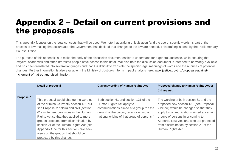# Appendix 2 – Detail on current provisions and the proposals

This appendix focuses on the legal concepts that will be used. We note that drafting of legislation (and the use of specific words) is part of the process of law-making that occurs after the Government has decided that changes to the law are needed. This drafting is done by the Parliamentary Counsel Office.

The purpose of this appendix is to make the body of the discussion document easier to understand for a general audience, while ensuring that lawyers, academics and other interested people have access to this detail. We also note the discussion document is intended to be widely available and has been translated into several languages and that it is difficult to translate the specific legal meanings of words and the nuances of potential changes. Further information is also available in the Ministry of Justice's interim impact analysis here: [www.justice.govt.nz/proposals-against](http://www.justice.govt.nz/proposals-against-incitement-of-hatred-and-discrimination)[incitement-of-hatred-and-discrimination.](http://www.justice.govt.nz/proposals-against-incitement-of-hatred-and-discrimination)

<span id="page-29-0"></span>

|                   | Detail of proposal                                                                                                                                                                                                                                                                                                                                                                                                        | <b>Current wording of Human Rights Act</b>                                                                                                                                                                | Proposed change to Human Rights Act or                                                                                                                                                                                                                                                                                 |
|-------------------|---------------------------------------------------------------------------------------------------------------------------------------------------------------------------------------------------------------------------------------------------------------------------------------------------------------------------------------------------------------------------------------------------------------------------|-----------------------------------------------------------------------------------------------------------------------------------------------------------------------------------------------------------|------------------------------------------------------------------------------------------------------------------------------------------------------------------------------------------------------------------------------------------------------------------------------------------------------------------------|
|                   |                                                                                                                                                                                                                                                                                                                                                                                                                           |                                                                                                                                                                                                           | <b>Crimes Act</b>                                                                                                                                                                                                                                                                                                      |
| <b>Proposal 1</b> | This proposal would change the wording<br>of the criminal (currently section 131 but<br>see Proposal 2 below) and civil (section<br>61) incitement provisions in the Human<br>Rights Act so that they applied to more<br>groups protected from discrimination by<br>section 21 of the Human Rights Act (see<br>Appendix One for this section). We seek<br>views on the groups that should be<br>protected by this change. | Both section 61 and section 131 of the<br>Human Rights Act apply to<br>communications aimed at a group "on the<br>ground of the colour, race, or ethnic or<br>national origins of that group of persons." | The wording of both section 61 and the<br>proposed new section 131 (see Proposal<br>2 below) would be changed so that they<br>apply to communications aimed at certain<br>groups of persons in or coming to<br>Aotearoa New Zealand who are protected<br>from discrimination by section 21 of the<br>Human Rights Act. |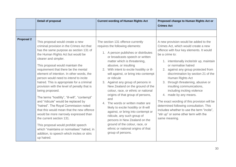|                   | <b>Detail of proposal</b>                                                                                                                                                                                                                                                                                                                                                                                                                                                                                                                                                                                                                                                                                                                                                                                                                                                 | <b>Current wording of Human Rights Act</b>                                                                                                                                                                                                                                                                                                                                                                                                                                                                                                                                                                                                                                                                                                                     | Proposed change to Human Rights Act or<br><b>Crimes Act</b>                                                                                                                                                                                                                                                                                                                                                                                                                                                                                                                                                                                       |
|-------------------|---------------------------------------------------------------------------------------------------------------------------------------------------------------------------------------------------------------------------------------------------------------------------------------------------------------------------------------------------------------------------------------------------------------------------------------------------------------------------------------------------------------------------------------------------------------------------------------------------------------------------------------------------------------------------------------------------------------------------------------------------------------------------------------------------------------------------------------------------------------------------|----------------------------------------------------------------------------------------------------------------------------------------------------------------------------------------------------------------------------------------------------------------------------------------------------------------------------------------------------------------------------------------------------------------------------------------------------------------------------------------------------------------------------------------------------------------------------------------------------------------------------------------------------------------------------------------------------------------------------------------------------------------|---------------------------------------------------------------------------------------------------------------------------------------------------------------------------------------------------------------------------------------------------------------------------------------------------------------------------------------------------------------------------------------------------------------------------------------------------------------------------------------------------------------------------------------------------------------------------------------------------------------------------------------------------|
|                   |                                                                                                                                                                                                                                                                                                                                                                                                                                                                                                                                                                                                                                                                                                                                                                                                                                                                           |                                                                                                                                                                                                                                                                                                                                                                                                                                                                                                                                                                                                                                                                                                                                                                |                                                                                                                                                                                                                                                                                                                                                                                                                                                                                                                                                                                                                                                   |
| <b>Proposal 2</b> | This proposal would create a new<br>criminal provision in the Crimes Act that<br>has the same purpose as section 131 of<br>the Human Rights Act but would be<br>clearer and simpler.<br>This proposal would maintain the<br>requirement that there be the mental<br>element of intention. In other words, the<br>person would need to intend to incite<br>hatred. This is appropriate for a criminal<br>provision with the level of penalty that is<br>being proposed.<br>The terms "hostility", "ill-will", "contempt"<br>and "ridicule" would be replaced by<br>"hatred". The Royal Commission noted<br>that this would mean that the new offence<br>would be more narrowly expressed than<br>the current section 131.<br>This proposal would prohibit speech<br>which "maintains or normalises" hatred, in<br>addition, to speech which incites or stirs<br>up hatred. | The section 131 offence currently<br>requires the following elements:<br>1. A person publishes or distributes<br>or broadcasts speech or written<br>matter which is threatening,<br>abusive, or insulting<br>2. With intent to excite hostility or ill-<br>will against, or bring into contempt<br>or ridicule<br>3. Against any group of persons in<br>New Zealand on the ground of the<br>colour, race, or ethnic or national<br>origins of that group of persons,<br>and<br>4. The words or written matter are<br>likely to excite hostility or ill-will<br>against, or bring into contempt or<br>ridicule, any such group of<br>persons in New Zealand on the<br>ground of the colour, race, or<br>ethnic or national origins of that<br>group of persons. | A new provision would be added to the<br>Crimes Act, which would create a new<br>offence with four key elements. It would<br>be a crime to:<br>1. intentionally incite/stir up, maintain<br>or normalise hatred<br>2. against any group protected from<br>discrimination by section 21 of the<br>Human Rights Act<br>through threatening, abusive or<br>3.<br>insulting communications,<br>including inciting violence<br>4. made by any means.<br>The exact wording of this provision will be<br>determined following consultation. This<br>includes whether to use the term "incite",<br>"stir up" or some other term with the<br>same meaning. |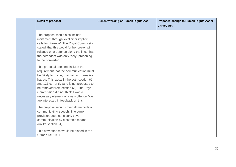| Detail of proposal                                                                                                                                                                                                                                                                                                                                                                       | <b>Current wording of Human Rights Act</b> | Proposed change to Human Rights Act or |
|------------------------------------------------------------------------------------------------------------------------------------------------------------------------------------------------------------------------------------------------------------------------------------------------------------------------------------------------------------------------------------------|--------------------------------------------|----------------------------------------|
|                                                                                                                                                                                                                                                                                                                                                                                          |                                            | <b>Crimes Act</b>                      |
| The proposal would also include<br>incitement through 'explicit or implicit<br>calls for violence'. The Royal Commission<br>stated 'that this would further pre-empt<br>reliance on a defence along the lines that<br>the defendant was only "only" preaching<br>to the converted'.                                                                                                      |                                            |                                        |
| This proposal does not include the<br>requirement that the communication must<br>be "likely to" incite, maintain or normalise<br>hatred. This exists in the both section 61<br>and 131 currently (and is not proposed to<br>be removed from section 61). The Royal<br>Commission did not think it was a<br>necessary element of a new offence. We<br>are interested in feedback on this. |                                            |                                        |
| The proposal would cover all methods of<br>communicating speech. The current<br>provision does not clearly cover<br>communication by electronic means<br>(unlike section 61).                                                                                                                                                                                                            |                                            |                                        |
| This new offence would be placed in the<br>Crimes Act 1961.                                                                                                                                                                                                                                                                                                                              |                                            |                                        |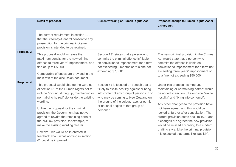|                   | Detail of proposal                                                                                                                                                                                                                                                                                                                                                                                                                                                                                                    | <b>Current wording of Human Rights Act</b>                                                                                                                                                                                                                                   | Proposed change to Human Rights Act or<br><b>Crimes Act</b>                                                                                                                                                                                                                                                                                                                                                                                                                                                                   |
|-------------------|-----------------------------------------------------------------------------------------------------------------------------------------------------------------------------------------------------------------------------------------------------------------------------------------------------------------------------------------------------------------------------------------------------------------------------------------------------------------------------------------------------------------------|------------------------------------------------------------------------------------------------------------------------------------------------------------------------------------------------------------------------------------------------------------------------------|-------------------------------------------------------------------------------------------------------------------------------------------------------------------------------------------------------------------------------------------------------------------------------------------------------------------------------------------------------------------------------------------------------------------------------------------------------------------------------------------------------------------------------|
|                   | The current requirement in section 132<br>that the Attorney-General consent to any<br>prosecution for the criminal incitement<br>provision is intended to be retained.                                                                                                                                                                                                                                                                                                                                                |                                                                                                                                                                                                                                                                              |                                                                                                                                                                                                                                                                                                                                                                                                                                                                                                                               |
| <b>Proposal 3</b> | This proposal would increase the<br>maximum penalty for the new criminal<br>offence to three years' imprisonment, or a<br>fine of up to \$50,000.<br>Comparable offences are provided in the<br>main text of the discussion document.                                                                                                                                                                                                                                                                                 | Section 131 states that a person who<br>commits the criminal offence is" liable<br>on conviction to imprisonment for a term<br>not exceeding 3 months or to a fine not<br>exceeding \$7,000"                                                                                 | The new criminal provision in the Crimes<br>Act would state that a person who<br>commits the offence is liable on<br>conviction to imprisonment for a term not<br>exceeding three years' imprisonment or<br>to a fine not exceeding \$50,000.                                                                                                                                                                                                                                                                                 |
| <b>Proposal 4</b> | This proposal would change the wording<br>of section 61 of the Human Rights Act to<br>include "inciting/stirring up, maintaining or<br>normalising hatred" alongside the existing<br>wording.<br>Unlike the proposal for the criminal<br>provision, the Government has not yet<br>agreed to rewrite the remaining parts of<br>the civil law provision, for example, to<br>make the existing wording clearer.<br>However, we would be interested in<br>feedback about what wording in section<br>61 could be improved. | Section 61 is focused on speech that is<br>"likely to excite hostility against or bring<br>into contempt any group of persons in or<br>who may be coming to New Zealand on<br>the ground of the colour, race, or ethnic<br>or national origins of that group of<br>persons." | Under this proposal "stirring up,<br>maintaining or normalising hatred" would<br>be added to section 61 alongside "excite<br>hostility" and "bring into contempt".<br>Any other changes to the provision have<br>not been agreed and this would be<br>looked at further after consultation. The<br>current provision dates back to 1979 and<br>if changes are agreed the new provision<br>would be revised according to a modern<br>drafting style. Like the criminal provision,<br>it is expected that terms like 'publish', |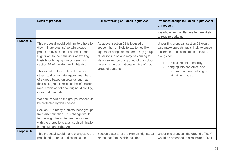|                   | Detail of proposal                                                                                                                                                                                                                                                                                                                                                                                                                                                                                                                                                                                                                                                                                                                                                                                | <b>Current wording of Human Rights Act</b>                                                                                                                                                                                                                                             | Proposed change to Human Rights Act or<br><b>Crimes Act</b>                                                                                                                                                                                                                      |
|-------------------|---------------------------------------------------------------------------------------------------------------------------------------------------------------------------------------------------------------------------------------------------------------------------------------------------------------------------------------------------------------------------------------------------------------------------------------------------------------------------------------------------------------------------------------------------------------------------------------------------------------------------------------------------------------------------------------------------------------------------------------------------------------------------------------------------|----------------------------------------------------------------------------------------------------------------------------------------------------------------------------------------------------------------------------------------------------------------------------------------|----------------------------------------------------------------------------------------------------------------------------------------------------------------------------------------------------------------------------------------------------------------------------------|
|                   |                                                                                                                                                                                                                                                                                                                                                                                                                                                                                                                                                                                                                                                                                                                                                                                                   |                                                                                                                                                                                                                                                                                        | 'distribute' and 'written matter' are likely<br>to require updating.                                                                                                                                                                                                             |
| <b>Proposal 5</b> | This proposal would add "incite others to<br>discriminate against" certain groups<br>protected by section 21 of the Human<br>Rights Act to the behaviour of exciting<br>hostility or bringing into contempt in<br>section 61 of the Human Rights Act.<br>This would make it unlawful to incite<br>others to discriminate against members<br>of a group based on grounds such as<br>their sex, gender, religious belief, colour,<br>race, ethnic or national origins, disability,<br>or sexual orientation.<br>We seek views on the groups that should<br>be protected by this change.<br>Section 21 already protects these groups<br>from discrimination. This change would<br>further align the incitement provisions<br>with the protections against discrimination<br>in the Human Rights Act. | As above, section 61 is focused on<br>speech that is "likely to excite hostility<br>against or bring into contempt any group<br>of persons in or who may be coming to<br>New Zealand on the ground of the colour,<br>race, or ethnic or national origins of that<br>group of persons." | Under this proposal, section 61 would<br>also make speech that is likely to cause<br>incitement to discrimination unlawful,<br>alongside:<br>1. the excitement of hostility<br>bringing into contempt, and<br>2.<br>the stirring up, normalising or<br>3.<br>maintaining hatred. |
| Proposal 6        | This proposal would make changes to the<br>prohibited grounds of discrimination in                                                                                                                                                                                                                                                                                                                                                                                                                                                                                                                                                                                                                                                                                                                | Section 21(1)(a) of the Human Rights Act<br>states that "sex, which includes                                                                                                                                                                                                           | Under this proposal, the ground of "sex"<br>would be amended to also include, "sex                                                                                                                                                                                               |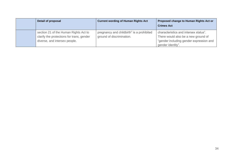| Detail of proposal                                                                                                  | <b>Current wording of Human Rights Act</b>                             | Proposed change to Human Rights Act or<br><b>Crimes Act</b>                                                                                  |
|---------------------------------------------------------------------------------------------------------------------|------------------------------------------------------------------------|----------------------------------------------------------------------------------------------------------------------------------------------|
| section 21 of the Human Rights Act to<br>clarify the protections for trans, gender<br>diverse, and intersex people. | pregnancy and childbirth" is a prohibited<br>ground of discrimination. | characteristics and intersex status".<br>There would also be a new ground of<br>"gender including gender expression and<br>gender identity". |